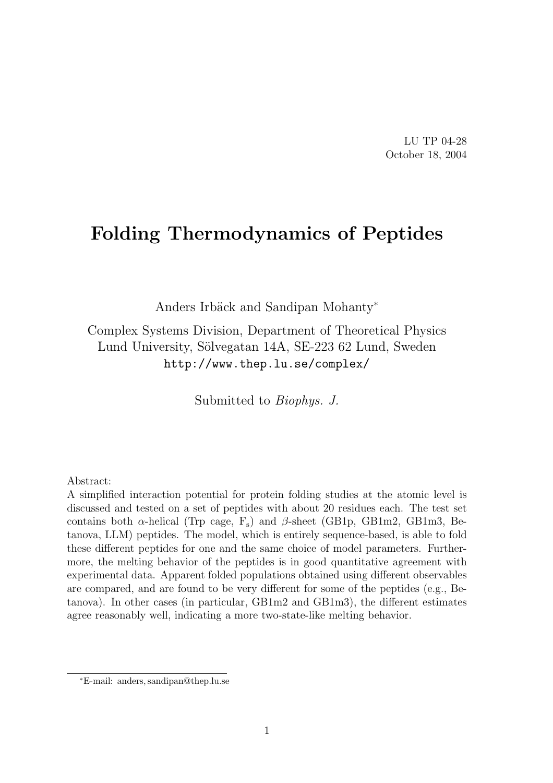LU TP 04-28 October 18, 2004

# Folding Thermodynamics of Peptides

Anders Irbäck and Sandipan Mohanty<sup>∗</sup>

Complex Systems Division, Department of Theoretical Physics Lund University, Sölvegatan 14A, SE-223 62 Lund, Sweden http://www.thep.lu.se/complex/

Submitted to Biophys. J.

Abstract:

A simplified interaction potential for protein folding studies at the atomic level is discussed and tested on a set of peptides with about 20 residues each. The test set contains both  $\alpha$ -helical (Trp cage, F<sub>s</sub>) and  $\beta$ -sheet (GB1p, GB1m2, GB1m3, Betanova, LLM) peptides. The model, which is entirely sequence-based, is able to fold these different peptides for one and the same choice of model parameters. Furthermore, the melting behavior of the peptides is in good quantitative agreement with experimental data. Apparent folded populations obtained using different observables are compared, and are found to be very different for some of the peptides (e.g., Betanova). In other cases (in particular, GB1m2 and GB1m3), the different estimates agree reasonably well, indicating a more two-state-like melting behavior.

<sup>∗</sup>E-mail: anders, sandipan@thep.lu.se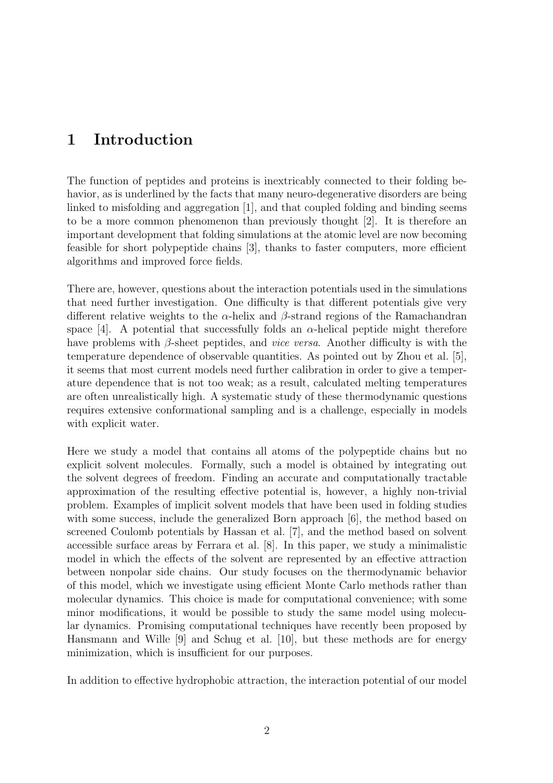## 1 Introduction

The function of peptides and proteins is inextricably connected to their folding behavior, as is underlined by the facts that many neuro-degenerative disorders are being linked to misfolding and aggregation [1], and that coupled folding and binding seems to be a more common phenomenon than previously thought [2]. It is therefore an important development that folding simulations at the atomic level are now becoming feasible for short polypeptide chains [3], thanks to faster computers, more efficient algorithms and improved force fields.

There are, however, questions about the interaction potentials used in the simulations that need further investigation. One difficulty is that different potentials give very different relative weights to the  $\alpha$ -helix and  $\beta$ -strand regions of the Ramachandran space [4]. A potential that successfully folds an  $\alpha$ -helical peptide might therefore have problems with  $\beta$ -sheet peptides, and *vice versa*. Another difficulty is with the temperature dependence of observable quantities. As pointed out by Zhou et al. [5], it seems that most current models need further calibration in order to give a temperature dependence that is not too weak; as a result, calculated melting temperatures are often unrealistically high. A systematic study of these thermodynamic questions requires extensive conformational sampling and is a challenge, especially in models with explicit water.

Here we study a model that contains all atoms of the polypeptide chains but no explicit solvent molecules. Formally, such a model is obtained by integrating out the solvent degrees of freedom. Finding an accurate and computationally tractable approximation of the resulting effective potential is, however, a highly non-trivial problem. Examples of implicit solvent models that have been used in folding studies with some success, include the generalized Born approach [6], the method based on screened Coulomb potentials by Hassan et al. [7], and the method based on solvent accessible surface areas by Ferrara et al. [8]. In this paper, we study a minimalistic model in which the effects of the solvent are represented by an effective attraction between nonpolar side chains. Our study focuses on the thermodynamic behavior of this model, which we investigate using efficient Monte Carlo methods rather than molecular dynamics. This choice is made for computational convenience; with some minor modifications, it would be possible to study the same model using molecular dynamics. Promising computational techniques have recently been proposed by Hansmann and Wille [9] and Schug et al. [10], but these methods are for energy minimization, which is insufficient for our purposes.

In addition to effective hydrophobic attraction, the interaction potential of our model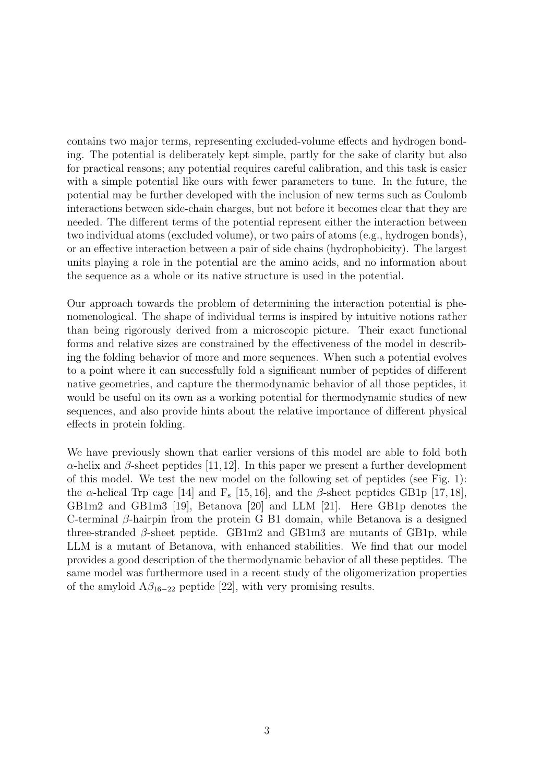contains two major terms, representing excluded-volume effects and hydrogen bonding. The potential is deliberately kept simple, partly for the sake of clarity but also for practical reasons; any potential requires careful calibration, and this task is easier with a simple potential like ours with fewer parameters to tune. In the future, the potential may be further developed with the inclusion of new terms such as Coulomb interactions between side-chain charges, but not before it becomes clear that they are needed. The different terms of the potential represent either the interaction between two individual atoms (excluded volume), or two pairs of atoms (e.g., hydrogen bonds), or an effective interaction between a pair of side chains (hydrophobicity). The largest units playing a role in the potential are the amino acids, and no information about the sequence as a whole or its native structure is used in the potential.

Our approach towards the problem of determining the interaction potential is phenomenological. The shape of individual terms is inspired by intuitive notions rather than being rigorously derived from a microscopic picture. Their exact functional forms and relative sizes are constrained by the effectiveness of the model in describing the folding behavior of more and more sequences. When such a potential evolves to a point where it can successfully fold a significant number of peptides of different native geometries, and capture the thermodynamic behavior of all those peptides, it would be useful on its own as a working potential for thermodynamic studies of new sequences, and also provide hints about the relative importance of different physical effects in protein folding.

We have previously shown that earlier versions of this model are able to fold both  $\alpha$ -helix and  $\beta$ -sheet peptides [11,12]. In this paper we present a further development of this model. We test the new model on the following set of peptides (see Fig. 1): the  $\alpha$ -helical Trp cage [14] and  $F_s$  [15, 16], and the  $\beta$ -sheet peptides GB1p [17, 18], GB1m2 and GB1m3 [19], Betanova [20] and LLM [21]. Here GB1p denotes the C-terminal β-hairpin from the protein G B1 domain, while Betanova is a designed three-stranded  $\beta$ -sheet peptide. GB1m2 and GB1m3 are mutants of GB1p, while LLM is a mutant of Betanova, with enhanced stabilities. We find that our model provides a good description of the thermodynamic behavior of all these peptides. The same model was furthermore used in a recent study of the oligomerization properties of the amyloid  $A\beta_{16-22}$  peptide [22], with very promising results.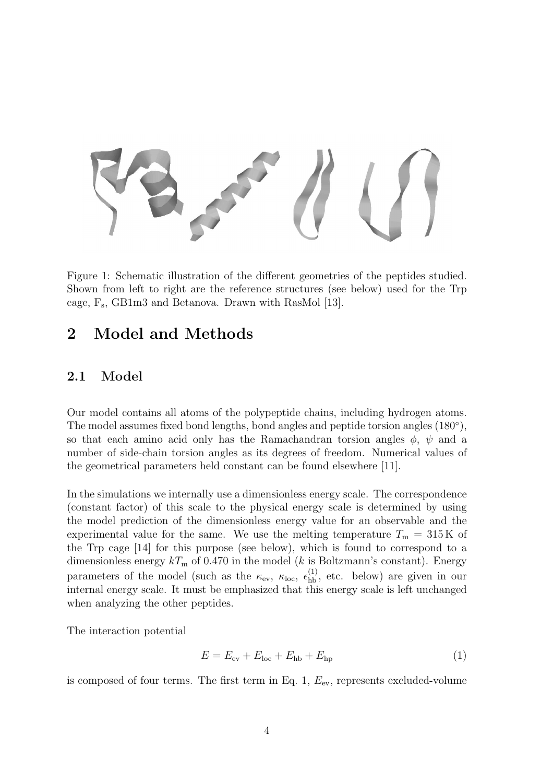

Figure 1: Schematic illustration of the different geometries of the peptides studied. Shown from left to right are the reference structures (see below) used for the Trp cage, F<sup>s</sup> , GB1m3 and Betanova. Drawn with RasMol [13].

# 2 Model and Methods

#### 2.1 Model

Our model contains all atoms of the polypeptide chains, including hydrogen atoms. The model assumes fixed bond lengths, bond angles and peptide torsion angles  $(180^{\circ})$ , so that each amino acid only has the Ramachandran torsion angles  $\phi$ ,  $\psi$  and a number of side-chain torsion angles as its degrees of freedom. Numerical values of the geometrical parameters held constant can be found elsewhere [11].

In the simulations we internally use a dimensionless energy scale. The correspondence (constant factor) of this scale to the physical energy scale is determined by using the model prediction of the dimensionless energy value for an observable and the experimental value for the same. We use the melting temperature  $T_{\rm m} = 315 \,\rm K$  of the Trp cage [14] for this purpose (see below), which is found to correspond to a dimensionless energy  $kT_{\rm m}$  of 0.470 in the model (k is Boltzmann's constant). Energy parameters of the model (such as the  $\kappa_{ev}$ ,  $\kappa_{loc}$ ,  $\epsilon_{hb}^{(1)}$ , etc. below) are given in our internal energy scale. It must be emphasized that this energy scale is left unchanged when analyzing the other peptides.

The interaction potential

$$
E = E_{\text{ev}} + E_{\text{loc}} + E_{\text{hb}} + E_{\text{hp}}
$$
\n
$$
\tag{1}
$$

is composed of four terms. The first term in Eq. 1,  $E_{\text{ev}}$ , represents excluded-volume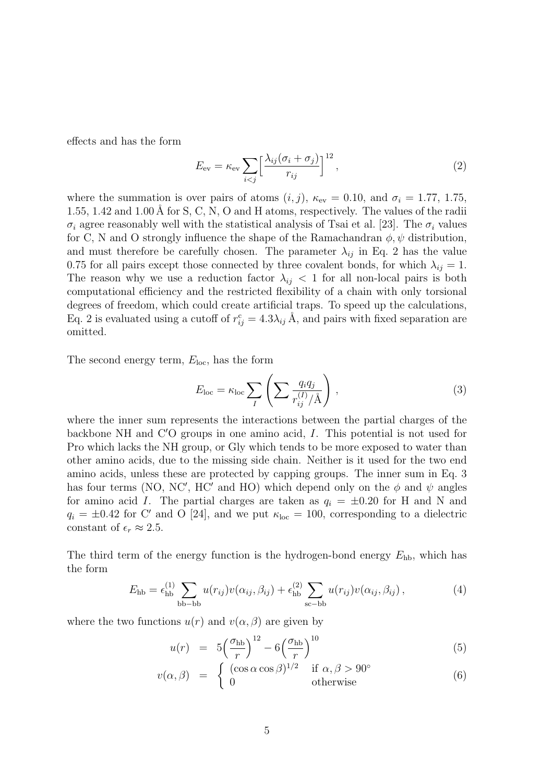effects and has the form

$$
E_{\rm ev} = \kappa_{\rm ev} \sum_{i < j} \left[ \frac{\lambda_{ij} (\sigma_i + \sigma_j)}{r_{ij}} \right]^{12},\tag{2}
$$

where the summation is over pairs of atoms  $(i, j)$ ,  $\kappa_{ev} = 0.10$ , and  $\sigma_i = 1.77, 1.75$ , 1.55, 1.42 and 1.00 Å for S, C, N, O and H atoms, respectively. The values of the radii  $\sigma_i$  agree reasonably well with the statistical analysis of Tsai et al. [23]. The  $\sigma_i$  values for C, N and O strongly influence the shape of the Ramachandran  $\phi, \psi$  distribution, and must therefore be carefully chosen. The parameter  $\lambda_{ij}$  in Eq. 2 has the value 0.75 for all pairs except those connected by three covalent bonds, for which  $\lambda_{ij} = 1$ . The reason why we use a reduction factor  $\lambda_{ij}$  < 1 for all non-local pairs is both computational efficiency and the restricted flexibility of a chain with only torsional degrees of freedom, which could create artificial traps. To speed up the calculations, Eq. 2 is evaluated using a cutoff of  $r_{ij}^c = 4.3\lambda_{ij} \text{ Å}$ , and pairs with fixed separation are omitted.

The second energy term,  $E_{loc}$ , has the form

$$
E_{\text{loc}} = \kappa_{\text{loc}} \sum_{I} \left( \sum \frac{q_i q_j}{r_{ij}^{(I)}/\text{\AA}} \right), \tag{3}
$$

where the inner sum represents the interactions between the partial charges of the backbone NH and  $C'O$  groups in one amino acid,  $I$ . This potential is not used for Pro which lacks the NH group, or Gly which tends to be more exposed to water than other amino acids, due to the missing side chain. Neither is it used for the two end amino acids, unless these are protected by capping groups. The inner sum in Eq. 3 has four terms (NO, NC', HC' and HO) which depend only on the  $\phi$  and  $\psi$  angles for amino acid I. The partial charges are taken as  $q_i = \pm 0.20$  for H and N and  $q_i = \pm 0.42$  for C' and O [24], and we put  $\kappa_{\text{loc}} = 100$ , corresponding to a dielectric constant of  $\epsilon_r \approx 2.5$ .

The third term of the energy function is the hydrogen-bond energy  $E_{\text{hb}}$ , which has the form

$$
E_{\text{hb}} = \epsilon_{\text{hb}}^{(1)} \sum_{\text{bb}-\text{bb}} u(r_{ij})v(\alpha_{ij}, \beta_{ij}) + \epsilon_{\text{hb}}^{(2)} \sum_{\text{sc}-\text{bb}} u(r_{ij})v(\alpha_{ij}, \beta_{ij}), \qquad (4)
$$

where the two functions  $u(r)$  and  $v(\alpha, \beta)$  are given by

$$
u(r) = 5\left(\frac{\sigma_{\rm hb}}{r}\right)^{12} - 6\left(\frac{\sigma_{\rm hb}}{r}\right)^{10} \tag{5}
$$

$$
v(\alpha, \beta) = \begin{cases} (r \vee r) & r \wedge r \\ (cos \alpha cos \beta)^{1/2} & \text{if } \alpha, \beta > 90^{\circ} \\ 0 & \text{otherwise} \end{cases}
$$
(6)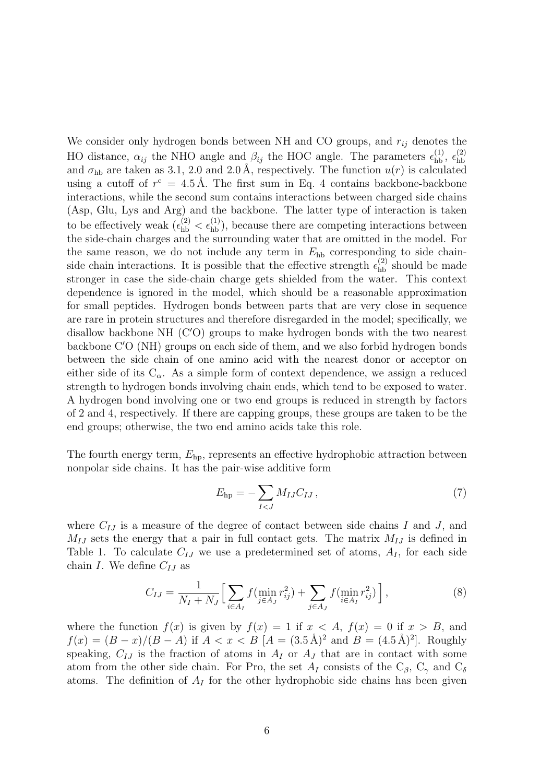We consider only hydrogen bonds between NH and CO groups, and  $r_{ij}$  denotes the HO distance,  $\alpha_{ij}$  the NHO angle and  $\beta_{ij}$  the HOC angle. The parameters  $\epsilon_{\text{hb}}^{(1)}$ ,  $\epsilon_{\text{hb}}^{(2)}$ hb and  $\sigma_{hb}$  are taken as 3.1, 2.0 and 2.0 Å, respectively. The function  $u(r)$  is calculated using a cutoff of  $r^c = 4.5 \text{ Å}$ . The first sum in Eq. 4 contains backbone-backbone interactions, while the second sum contains interactions between charged side chains (Asp, Glu, Lys and Arg) and the backbone. The latter type of interaction is taken to be effectively weak  $(\epsilon_{hb}^{(2)} < \epsilon_{hb}^{(1)})$ , because there are competing interactions between the side-chain charges and the surrounding water that are omitted in the model. For the same reason, we do not include any term in  $E<sub>hb</sub>$  corresponding to side chainside chain interactions. It is possible that the effective strength  $\epsilon_{hb}^{(2)}$  should be made stronger in case the side-chain charge gets shielded from the water. This context dependence is ignored in the model, which should be a reasonable approximation for small peptides. Hydrogen bonds between parts that are very close in sequence are rare in protein structures and therefore disregarded in the model; specifically, we disallow backbone NH  $(C'O)$  groups to make hydrogen bonds with the two nearest backbone  $C'O(NH)$  groups on each side of them, and we also forbid hydrogen bonds between the side chain of one amino acid with the nearest donor or acceptor on either side of its  $C_{\alpha}$ . As a simple form of context dependence, we assign a reduced strength to hydrogen bonds involving chain ends, which tend to be exposed to water. A hydrogen bond involving one or two end groups is reduced in strength by factors of 2 and 4, respectively. If there are capping groups, these groups are taken to be the end groups; otherwise, the two end amino acids take this role.

The fourth energy term,  $E_{\text{ho}}$ , represents an effective hydrophobic attraction between nonpolar side chains. It has the pair-wise additive form

$$
E_{\rm hp} = -\sum_{I < J} M_{IJ} C_{IJ} \,,\tag{7}
$$

where  $C_{IJ}$  is a measure of the degree of contact between side chains I and J, and  $M_{IJ}$  sets the energy that a pair in full contact gets. The matrix  $M_{IJ}$  is defined in Table 1. To calculate  $C_{IJ}$  we use a predetermined set of atoms,  $A_I$ , for each side chain I. We define  $C_{IJ}$  as

$$
C_{IJ} = \frac{1}{N_I + N_J} \Big[ \sum_{i \in A_I} f(\min_{j \in A_J} r_{ij}^2) + \sum_{j \in A_J} f(\min_{i \in A_I} r_{ij}^2) \Big], \tag{8}
$$

where the function  $f(x)$  is given by  $f(x) = 1$  if  $x < A$ ,  $f(x) = 0$  if  $x > B$ , and  $f(x) = (B - x)/(B - A)$  if  $A < x < B$   $[A = (3.5 \text{ Å})^2$  and  $B = (4.5 \text{ Å})^2$ . Roughly speaking,  $C_{IJ}$  is the fraction of atoms in  $A_I$  or  $A_J$  that are in contact with some atom from the other side chain. For Pro, the set  $A_I$  consists of the  $C_\beta$ ,  $C_\gamma$  and  $C_\delta$ atoms. The definition of  $A_I$  for the other hydrophobic side chains has been given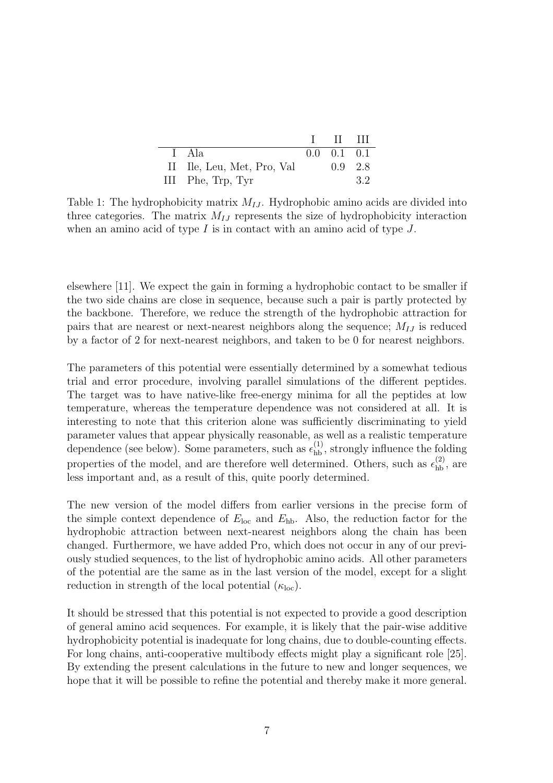|                            | $\blacksquare$            |    |
|----------------------------|---------------------------|----|
| I Ala                      | $0.0 \quad 0.1 \quad 0.1$ |    |
| II Ile, Leu, Met, Pro, Val | $0.9 \quad 2.8$           |    |
| III Phe, Trp, Tyr          |                           | 32 |

Table 1: The hydrophobicity matrix  $M_{IJ}$ . Hydrophobic amino acids are divided into three categories. The matrix  $M_{IJ}$  represents the size of hydrophobicity interaction when an amino acid of type  $I$  is in contact with an amino acid of type  $J$ .

elsewhere [11]. We expect the gain in forming a hydrophobic contact to be smaller if the two side chains are close in sequence, because such a pair is partly protected by the backbone. Therefore, we reduce the strength of the hydrophobic attraction for pairs that are nearest or next-nearest neighbors along the sequence;  $M_{IJ}$  is reduced by a factor of 2 for next-nearest neighbors, and taken to be 0 for nearest neighbors.

The parameters of this potential were essentially determined by a somewhat tedious trial and error procedure, involving parallel simulations of the different peptides. The target was to have native-like free-energy minima for all the peptides at low temperature, whereas the temperature dependence was not considered at all. It is interesting to note that this criterion alone was sufficiently discriminating to yield parameter values that appear physically reasonable, as well as a realistic temperature dependence (see below). Some parameters, such as  $\epsilon_{hb}^{(1)}$ , strongly influence the folding properties of the model, and are therefore well determined. Others, such as  $\epsilon_{\text{hb}}^{(2)}$ , are less important and, as a result of this, quite poorly determined.

The new version of the model differs from earlier versions in the precise form of the simple context dependence of  $E_{\text{loc}}$  and  $E_{\text{hb}}$ . Also, the reduction factor for the hydrophobic attraction between next-nearest neighbors along the chain has been changed. Furthermore, we have added Pro, which does not occur in any of our previously studied sequences, to the list of hydrophobic amino acids. All other parameters of the potential are the same as in the last version of the model, except for a slight reduction in strength of the local potential  $(\kappa_{\text{loc}})$ .

It should be stressed that this potential is not expected to provide a good description of general amino acid sequences. For example, it is likely that the pair-wise additive hydrophobicity potential is inadequate for long chains, due to double-counting effects. For long chains, anti-cooperative multibody effects might play a significant role [25]. By extending the present calculations in the future to new and longer sequences, we hope that it will be possible to refine the potential and thereby make it more general.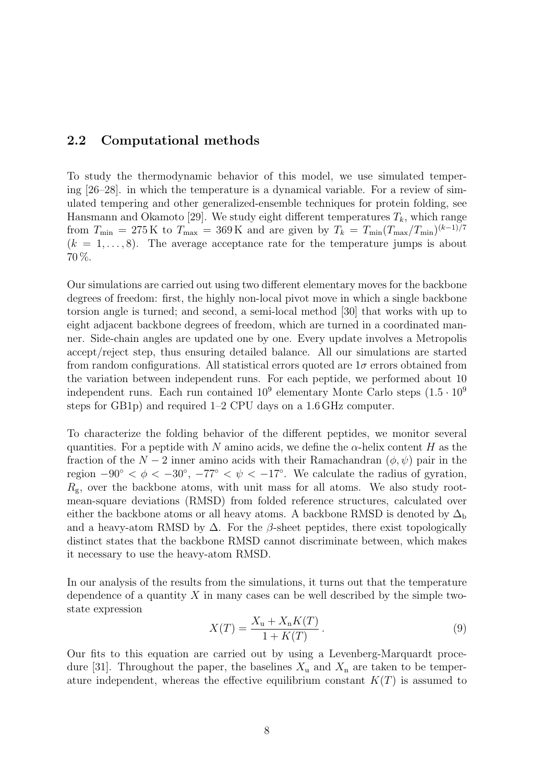#### 2.2 Computational methods

To study the thermodynamic behavior of this model, we use simulated tempering [26–28]. in which the temperature is a dynamical variable. For a review of simulated tempering and other generalized-ensemble techniques for protein folding, see Hansmann and Okamoto [29]. We study eight different temperatures  $T_k$ , which range from  $T_{\min} = 275 \,\mathrm{K}$  to  $T_{\max} = 369 \,\mathrm{K}$  and are given by  $T_k = T_{\min}(T_{\max}/T_{\min})^{(k-1)/7}$  $(k = 1, \ldots, 8)$ . The average acceptance rate for the temperature jumps is about 70 %.

Our simulations are carried out using two different elementary moves for the backbone degrees of freedom: first, the highly non-local pivot move in which a single backbone torsion angle is turned; and second, a semi-local method [30] that works with up to eight adjacent backbone degrees of freedom, which are turned in a coordinated manner. Side-chain angles are updated one by one. Every update involves a Metropolis accept/reject step, thus ensuring detailed balance. All our simulations are started from random configurations. All statistical errors quoted are  $1\sigma$  errors obtained from the variation between independent runs. For each peptide, we performed about 10 independent runs. Each run contained  $10^9$  elementary Monte Carlo steps  $(1.5 \cdot 10^9)$ steps for GB1p) and required 1–2 CPU days on a 1.6 GHz computer.

To characterize the folding behavior of the different peptides, we monitor several quantities. For a peptide with N amino acids, we define the  $\alpha$ -helix content H as the fraction of the  $N-2$  inner amino acids with their Ramachandran  $(\phi, \psi)$  pair in the region  $-90° < \phi < -30°$ ,  $-77° < \psi < -17°$ . We calculate the radius of gyration,  $R_{\rm g}$ , over the backbone atoms, with unit mass for all atoms. We also study rootmean-square deviations (RMSD) from folded reference structures, calculated over either the backbone atoms or all heavy atoms. A backbone RMSD is denoted by  $\Delta_{\rm b}$ and a heavy-atom RMSD by  $\Delta$ . For the  $\beta$ -sheet peptides, there exist topologically distinct states that the backbone RMSD cannot discriminate between, which makes it necessary to use the heavy-atom RMSD.

In our analysis of the results from the simulations, it turns out that the temperature dependence of a quantity  $X$  in many cases can be well described by the simple twostate expression

$$
X(T) = \frac{X_{\rm u} + X_{\rm n}K(T)}{1 + K(T)}.
$$
\n(9)

Our fits to this equation are carried out by using a Levenberg-Marquardt procedure [31]. Throughout the paper, the baselines  $X_u$  and  $X_n$  are taken to be temperature independent, whereas the effective equilibrium constant  $K(T)$  is assumed to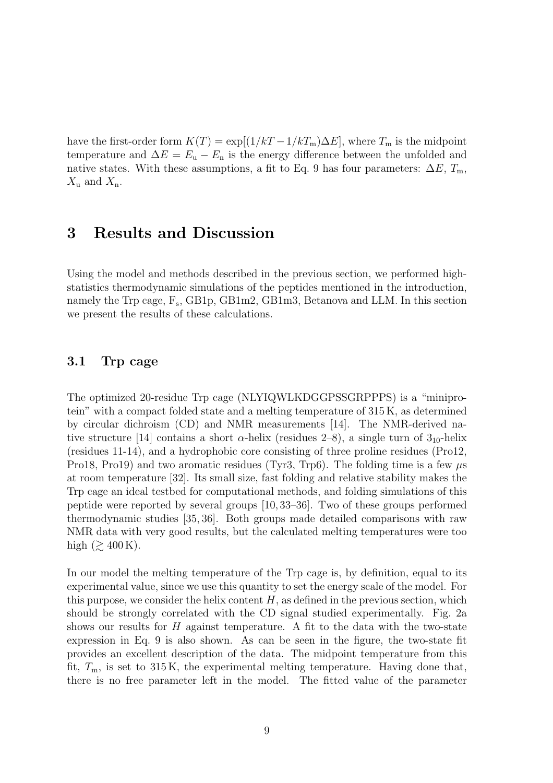have the first-order form  $K(T) = \exp[(1/kT - 1/kT_m)\Delta E]$ , where  $T_m$  is the midpoint temperature and  $\Delta E = E_{\rm u} - E_{\rm n}$  is the energy difference between the unfolded and native states. With these assumptions, a fit to Eq. 9 has four parameters:  $\Delta E$ ,  $T_m$ ,  $X_{\rm u}$  and  $X_{\rm n}$ .

### 3 Results and Discussion

Using the model and methods described in the previous section, we performed highstatistics thermodynamic simulations of the peptides mentioned in the introduction, namely the Trp cage,  $F_s$ , GB1p, GB1m2, GB1m3, Betanova and LLM. In this section we present the results of these calculations.

#### 3.1 Trp cage

The optimized 20-residue Trp cage (NLYIQWLKDGGPSSGRPPPS) is a "miniprotein" with a compact folded state and a melting temperature of 315 K, as determined by circular dichroism (CD) and NMR measurements [14]. The NMR-derived native structure [14] contains a short  $\alpha$ -helix (residues 2–8), a single turn of 3<sub>10</sub>-helix (residues 11-14), and a hydrophobic core consisting of three proline residues (Pro12, Pro18, Pro19) and two aromatic residues (Tyr3, Trp6). The folding time is a few  $\mu$ s at room temperature [32]. Its small size, fast folding and relative stability makes the Trp cage an ideal testbed for computational methods, and folding simulations of this peptide were reported by several groups [10, 33–36]. Two of these groups performed thermodynamic studies [35, 36]. Both groups made detailed comparisons with raw NMR data with very good results, but the calculated melting temperatures were too high  $(\gtrsim 400 \,\mathrm{K})$ .

In our model the melting temperature of the Trp cage is, by definition, equal to its experimental value, since we use this quantity to set the energy scale of the model. For this purpose, we consider the helix content  $H$ , as defined in the previous section, which should be strongly correlated with the CD signal studied experimentally. Fig. 2a shows our results for  $H$  against temperature. A fit to the data with the two-state expression in Eq. 9 is also shown. As can be seen in the figure, the two-state fit provides an excellent description of the data. The midpoint temperature from this fit,  $T_{\rm m}$ , is set to 315 K, the experimental melting temperature. Having done that, there is no free parameter left in the model. The fitted value of the parameter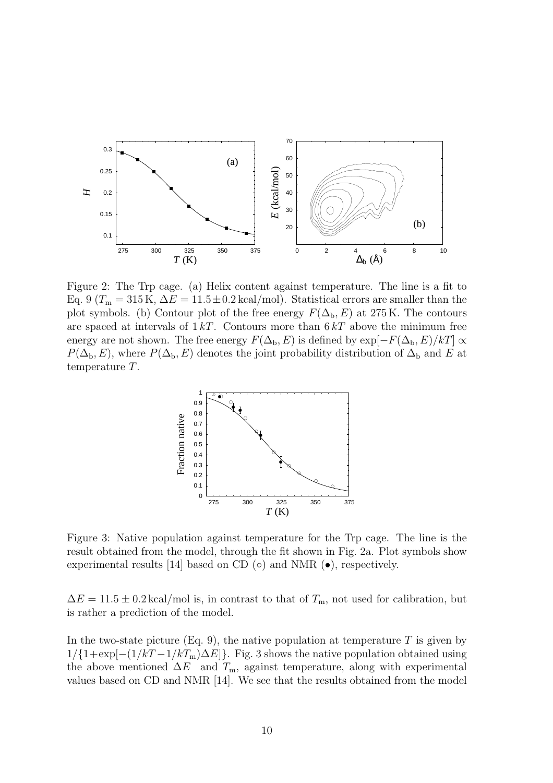

Figure 2: The Trp cage. (a) Helix content against temperature. The line is a fit to Eq. 9 ( $T_m = 315 \text{ K}$ ,  $\Delta E = 11.5 \pm 0.2 \text{ kcal/mol}$ ). Statistical errors are smaller than the plot symbols. (b) Contour plot of the free energy  $F(\Delta_{\rm b}, E)$  at 275 K. The contours are spaced at intervals of  $1 kT$ . Contours more than  $6 kT$  above the minimum free energy are not shown. The free energy  $F(\Delta_{\rm b}, E)$  is defined by  $\exp[-F(\Delta_{\rm b}, E)/kT] \propto$  $P(\Delta_{\rm b}, E)$ , where  $P(\Delta_{\rm b}, E)$  denotes the joint probability distribution of  $\Delta_{\rm b}$  and E at temperature T.



Figure 3: Native population against temperature for the Trp cage. The line is the result obtained from the model, through the fit shown in Fig. 2a. Plot symbols show experimental results [14] based on CD  $\circ$  and NMR  $\bullet$ , respectively.

 $\Delta E = 11.5 \pm 0.2 \text{ kcal/mol}$  is, in contrast to that of  $T_{\text{m}}$ , not used for calibration, but is rather a prediction of the model.

In the two-state picture (Eq. 9), the native population at temperature  $T$  is given by  $1/{1+\exp[-(1/kT-1/kT_m)\Delta E]}$ . Fig. 3 shows the native population obtained using the above mentioned  $\Delta E$  and  $T_m$ , against temperature, along with experimental values based on CD and NMR [14]. We see that the results obtained from the model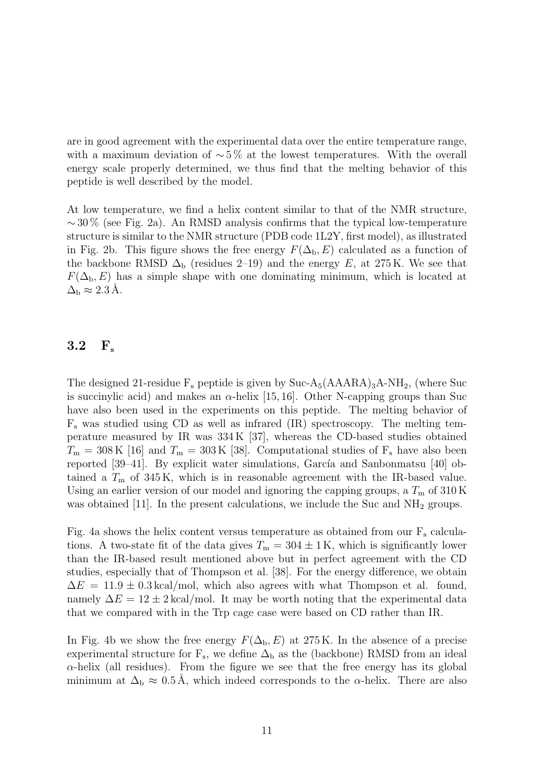are in good agreement with the experimental data over the entire temperature range, with a maximum deviation of  $\sim 5\%$  at the lowest temperatures. With the overall energy scale properly determined, we thus find that the melting behavior of this peptide is well described by the model.

At low temperature, we find a helix content similar to that of the NMR structure,  $\sim$  30 % (see Fig. 2a). An RMSD analysis confirms that the typical low-temperature structure is similar to the NMR structure (PDB code 1L2Y, first model), as illustrated in Fig. 2b. This figure shows the free energy  $F(\Delta_b, E)$  calculated as a function of the backbone RMSD  $\Delta_{\rm b}$  (residues 2–19) and the energy E, at 275 K. We see that  $F(\Delta_{\rm b}, E)$  has a simple shape with one dominating minimum, which is located at  $\Delta_{\rm b} \approx 2.3 \,\rm \AA.$ 

#### 3.2  $F_s$

The designed 21-residue  $F_s$  peptide is given by Suc-A<sub>5</sub>(AAARA)<sub>3</sub>A-NH<sub>2</sub>, (where Suc is succinylic acid) and makes an  $\alpha$ -helix [15, 16]. Other N-capping groups than Suc have also been used in the experiments on this peptide. The melting behavior of  $F<sub>s</sub>$  was studied using CD as well as infrared (IR) spectroscopy. The melting temperature measured by IR was 334 K [37], whereas the CD-based studies obtained  $T_{\rm m} = 308 \,\rm K$  [16] and  $T_{\rm m} = 303 \,\rm K$  [38]. Computational studies of  $F_s$  have also been reported  $[39-41]$ . By explicit water simulations, García and Sanbonmatsu  $[40]$  obtained a  $T<sub>m</sub>$  of 345 K, which is in reasonable agreement with the IR-based value. Using an earlier version of our model and ignoring the capping groups, a  $T<sub>m</sub>$  of 310 K was obtained [11]. In the present calculations, we include the Suc and  $NH_2$  groups.

Fig. 4a shows the helix content versus temperature as obtained from our  $F_s$  calculations. A two-state fit of the data gives  $T_m = 304 \pm 1$  K, which is significantly lower than the IR-based result mentioned above but in perfect agreement with the CD studies, especially that of Thompson et al. [38]. For the energy difference, we obtain  $\Delta E = 11.9 \pm 0.3 \,\text{kcal/mol}$ , which also agrees with what Thompson et al. found, namely  $\Delta E = 12 \pm 2 \text{ kcal/mol}$ . It may be worth noting that the experimental data that we compared with in the Trp cage case were based on CD rather than IR.

In Fig. 4b we show the free energy  $F(\Delta_{\rm b}, E)$  at 275 K. In the absence of a precise experimental structure for  $F_s$ , we define  $\Delta_b$  as the (backbone) RMSD from an ideal  $\alpha$ -helix (all residues). From the figure we see that the free energy has its global minimum at  $\Delta_{\rm b} \approx 0.5$  Å, which indeed corresponds to the  $\alpha$ -helix. There are also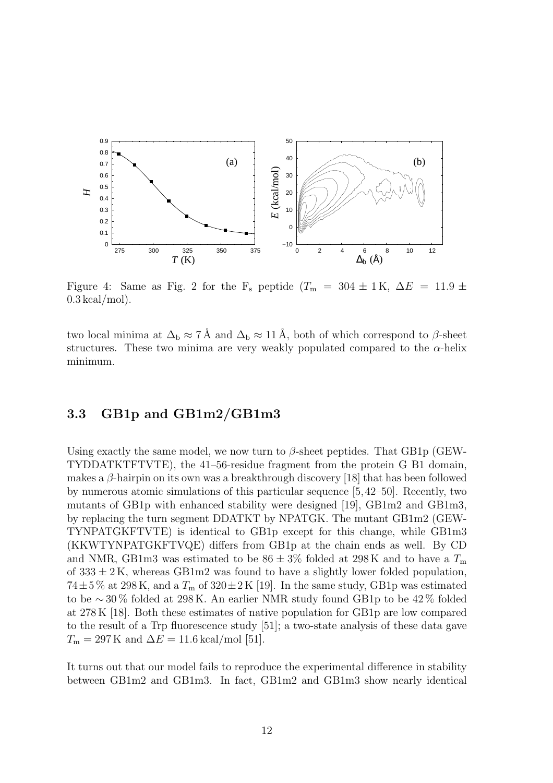

Figure 4: Same as Fig. 2 for the F<sub>s</sub> peptide ( $T_{\rm m}$  = 304 ± 1K,  $\Delta E$  = 11.9 ±  $0.3 \text{ kcal/mol}$ .

two local minima at  $\Delta_b \approx 7$  Å and  $\Delta_b \approx 11$  Å, both of which correspond to  $\beta$ -sheet structures. These two minima are very weakly populated compared to the  $\alpha$ -helix minimum.

#### 3.3 GB1p and GB1m2/GB1m3

Using exactly the same model, we now turn to  $\beta$ -sheet peptides. That GB1p (GEW-TYDDATKTFTVTE), the 41–56-residue fragment from the protein G B1 domain, makes a  $\beta$ -hairpin on its own was a breakthrough discovery [18] that has been followed by numerous atomic simulations of this particular sequence [5,42–50]. Recently, two mutants of GB1p with enhanced stability were designed [19], GB1m2 and GB1m3, by replacing the turn segment DDATKT by NPATGK. The mutant GB1m2 (GEW-TYNPATGKFTVTE) is identical to GB1p except for this change, while GB1m3 (KKWTYNPATGKFTVQE) differs from GB1p at the chain ends as well. By CD and NMR, GB1m3 was estimated to be  $86 \pm 3\%$  folded at 298 K and to have a  $T_{\text{m}}$ of  $333 \pm 2$  K, whereas GB1m2 was found to have a slightly lower folded population,  $74\pm5\%$  at 298 K, and a  $T<sub>m</sub>$  of 320  $\pm2$  K [19]. In the same study, GB1p was estimated to be ∼ 30 % folded at 298 K. An earlier NMR study found GB1p to be 42 % folded at 278 K [18]. Both these estimates of native population for GB1p are low compared to the result of a Trp fluorescence study [51]; a two-state analysis of these data gave  $T_{\rm m} = 297$  K and  $\Delta E = 11.6$  kcal/mol [51].

It turns out that our model fails to reproduce the experimental difference in stability between GB1m2 and GB1m3. In fact, GB1m2 and GB1m3 show nearly identical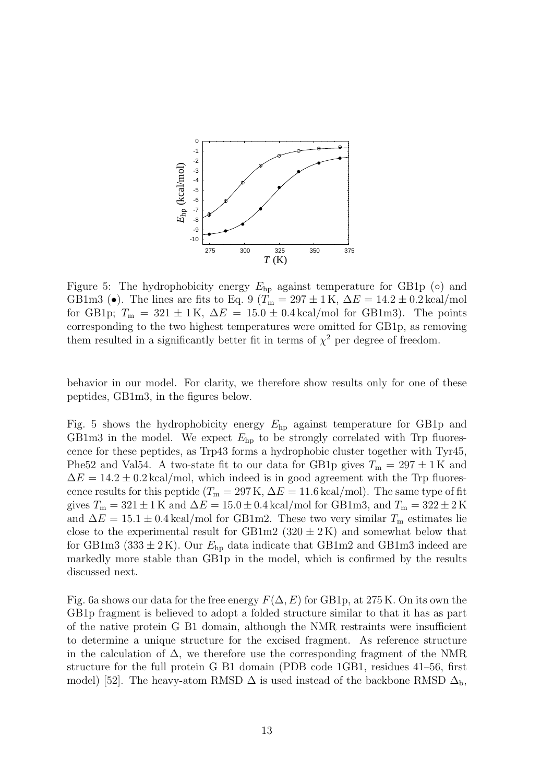

Figure 5: The hydrophobicity energy  $E_{hp}$  against temperature for GB1p ( $\circ$ ) and GB1m3 (•). The lines are fits to Eq. 9 ( $T_m = 297 \pm 1$  K,  $\Delta E = 14.2 \pm 0.2$  kcal/mol for GB1p;  $T_m = 321 \pm 1$ K,  $\Delta E = 15.0 \pm 0.4$  kcal/mol for GB1m3). The points corresponding to the two highest temperatures were omitted for GB1p, as removing them resulted in a significantly better fit in terms of  $\chi^2$  per degree of freedom.

behavior in our model. For clarity, we therefore show results only for one of these peptides, GB1m3, in the figures below.

Fig. 5 shows the hydrophobicity energy  $E_{hp}$  against temperature for GB1p and GB1m3 in the model. We expect  $E_{hp}$  to be strongly correlated with Trp fluorescence for these peptides, as Trp43 forms a hydrophobic cluster together with Tyr45, Phe52 and Val54. A two-state fit to our data for GB1p gives  $T_m = 297 \pm 1$ K and  $\Delta E = 14.2 \pm 0.2 \text{ kcal/mol}$ , which indeed is in good agreement with the Trp fluorescence results for this peptide ( $T_m = 297 \text{ K}$ ,  $\Delta E = 11.6 \text{ kcal/mol}$ ). The same type of fit gives  $T_m = 321 \pm 1$  K and  $\Delta E = 15.0 \pm 0.4$  kcal/mol for GB1m3, and  $T_m = 322 \pm 2$  K and  $\Delta E = 15.1 \pm 0.4 \,\text{kcal/mol}$  for GB1m2. These two very similar  $T_{\text{m}}$  estimates lie close to the experimental result for GB1m2  $(320 \pm 2 \text{ K})$  and somewhat below that for GB1m3 (333  $\pm$  2K). Our  $E_{\text{hp}}$  data indicate that GB1m2 and GB1m3 indeed are markedly more stable than GB1p in the model, which is confirmed by the results discussed next.

Fig. 6a shows our data for the free energy  $F(\Delta, E)$  for GB1p, at 275 K. On its own the GB1p fragment is believed to adopt a folded structure similar to that it has as part of the native protein G B1 domain, although the NMR restraints were insufficient to determine a unique structure for the excised fragment. As reference structure in the calculation of  $\Delta$ , we therefore use the corresponding fragment of the NMR structure for the full protein G B1 domain (PDB code 1GB1, residues 41–56, first model) [52]. The heavy-atom RMSD  $\Delta$  is used instead of the backbone RMSD  $\Delta_{\rm b}$ ,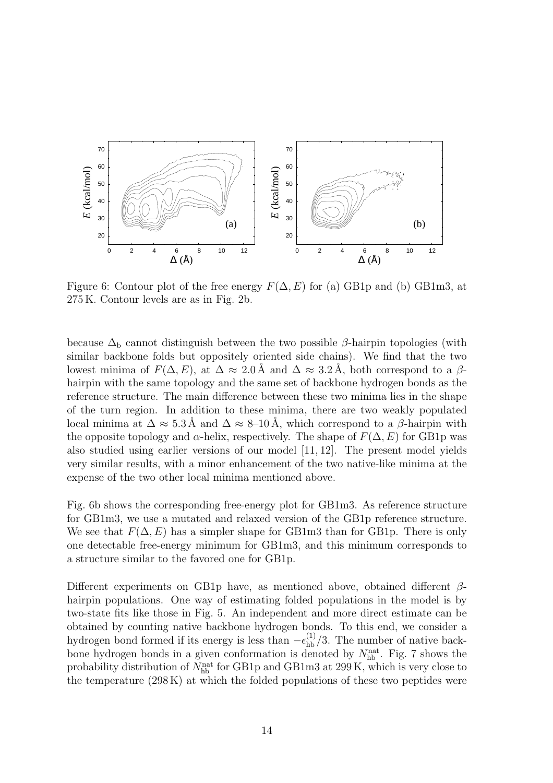

Figure 6: Contour plot of the free energy  $F(\Delta, E)$  for (a) GB1p and (b) GB1m3, at 275 K. Contour levels are as in Fig. 2b.

because  $\Delta_{\rm b}$  cannot distinguish between the two possible  $\beta$ -hairpin topologies (with similar backbone folds but oppositely oriented side chains). We find that the two lowest minima of  $F(\Delta, E)$ , at  $\Delta \approx 2.0$  Å and  $\Delta \approx 3.2$  Å, both correspond to a  $\beta$ hairpin with the same topology and the same set of backbone hydrogen bonds as the reference structure. The main difference between these two minima lies in the shape of the turn region. In addition to these minima, there are two weakly populated local minima at  $\Delta \approx 5.3 \text{ Å}$  and  $\Delta \approx 8{\text -}10 \text{ Å}$ , which correspond to a  $\beta$ -hairpin with the opposite topology and  $\alpha$ -helix, respectively. The shape of  $F(\Delta, E)$  for GB1p was also studied using earlier versions of our model [11, 12]. The present model yields very similar results, with a minor enhancement of the two native-like minima at the expense of the two other local minima mentioned above.

Fig. 6b shows the corresponding free-energy plot for GB1m3. As reference structure for GB1m3, we use a mutated and relaxed version of the GB1p reference structure. We see that  $F(\Delta, E)$  has a simpler shape for GB1m3 than for GB1p. There is only one detectable free-energy minimum for GB1m3, and this minimum corresponds to a structure similar to the favored one for GB1p.

Different experiments on GB1p have, as mentioned above, obtained different  $\beta$ hairpin populations. One way of estimating folded populations in the model is by two-state fits like those in Fig. 5. An independent and more direct estimate can be obtained by counting native backbone hydrogen bonds. To this end, we consider a hydrogen bond formed if its energy is less than  $-\epsilon_{hb}^{(1)}/3$ . The number of native backbone hydrogen bonds in a given conformation is denoted by  $N_{\rm hb}^{\rm nat}$ . Fig. 7 shows the probability distribution of  $N_{\rm hb}^{\rm nat}$  for GB1p and GB1m3 at 299 K, which is very close to the temperature  $(298 \text{ K})$  at which the folded populations of these two peptides were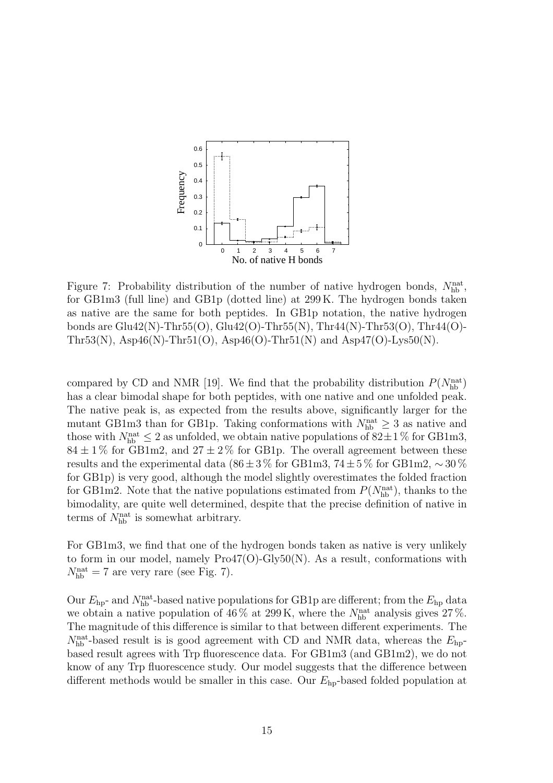

Figure 7: Probability distribution of the number of native hydrogen bonds,  $N_{\text{hb}}^{\text{nat}}$ , for GB1m3 (full line) and GB1p (dotted line) at 299 K. The hydrogen bonds taken as native are the same for both peptides. In GB1p notation, the native hydrogen bonds are  $Glu42(N)$ -Thr55(O),  $Glu42(O)$ -Thr55(N), Thr44(N)-Thr53(O), Thr44(O)-Thr53(N), Asp46(N)-Thr51(O), Asp46(O)-Thr51(N) and Asp47(O)-Lys50(N).

compared by CD and NMR [19]. We find that the probability distribution  $P(N_{\text{hb}}^{\text{nat}})$ has a clear bimodal shape for both peptides, with one native and one unfolded peak. The native peak is, as expected from the results above, significantly larger for the mutant GB1m3 than for GB1p. Taking conformations with  $N_{\text{hb}}^{\text{nat}} \geq 3$  as native and those with  $N_{\rm hb}^{\rm nat} \leq 2$  as unfolded, we obtain native populations of  $82 \pm 1\,\%$  for GB1m3,  $84 \pm 1\%$  for GB1m2, and  $27 \pm 2\%$  for GB1p. The overall agreement between these results and the experimental data ( $86 \pm 3\%$  for GB1m3,  $74 \pm 5\%$  for GB1m2,  $\sim 30\%$ for GB1p) is very good, although the model slightly overestimates the folded fraction for GB1m2. Note that the native populations estimated from  $P(N_{\text{hb}}^{\text{nat}})$ , thanks to the bimodality, are quite well determined, despite that the precise definition of native in terms of  $N_{\text{hb}}^{\text{nat}}$  is somewhat arbitrary.

For GB1m3, we find that one of the hydrogen bonds taken as native is very unlikely to form in our model, namely  $Pro47(O)-Gly50(N)$ . As a result, conformations with  $N_{\rm hb}^{\rm nat} = 7$  are very rare (see Fig. 7).

Our  $E_{\rm hp}$ - and  $N_{\rm hb}^{\rm nat}$ -based native populations for GB1p are different; from the  $E_{\rm hp}$  data we obtain a native population of  $46\%$  at  $299\,\mathrm{K}$ , where the  $N_{\rm hb}^{\rm nat}$  analysis gives  $27\,\%$ . The magnitude of this difference is similar to that between different experiments. The  $N_{\rm hb}^{\rm nat}$ -based result is is good agreement with CD and NMR data, whereas the  $E_{\rm hp}$ based result agrees with Trp fluorescence data. For GB1m3 (and GB1m2), we do not know of any Trp fluorescence study. Our model suggests that the difference between different methods would be smaller in this case. Our  $E_{\text{hp}}$ -based folded population at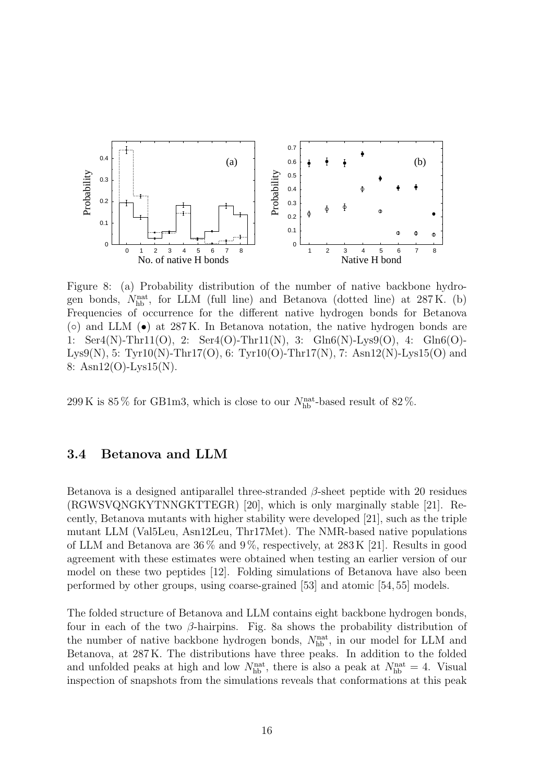

Figure 8: (a) Probability distribution of the number of native backbone hydrogen bonds,  $N_{\text{hb}}^{\text{nat}}$ , for LLM (full line) and Betanova (dotted line) at 287 K. (b) Frequencies of occurrence for the different native hydrogen bonds for Betanova  $\sigma$ ) and LLM  $\sigma$ ) at 287 K. In Betanova notation, the native hydrogen bonds are 1: Ser4(N)-Thr11(O), 2: Ser4(O)-Thr11(N), 3: Gln6(N)-Lys9(O), 4: Gln6(O)- Lys9(N), 5: Tyr10(N)-Thr17(O), 6: Tyr10(O)-Thr17(N), 7: Asn12(N)-Lys15(O) and 8: Asn12(O)-Lys15(N).

299 K is  $85\%$  for GB1m3, which is close to our  $N_{\rm hb}^{\rm nat}$ -based result of  $82\%$ .

#### 3.4 Betanova and LLM

Betanova is a designed antiparallel three-stranded  $\beta$ -sheet peptide with 20 residues (RGWSVQNGKYTNNGKTTEGR) [20], which is only marginally stable [21]. Recently, Betanova mutants with higher stability were developed [21], such as the triple mutant LLM (Val5Leu, Asn12Leu, Thr17Met). The NMR-based native populations of LLM and Betanova are  $36\%$  and  $9\%$ , respectively, at  $283\,\mathrm{K}$  [21]. Results in good agreement with these estimates were obtained when testing an earlier version of our model on these two peptides [12]. Folding simulations of Betanova have also been performed by other groups, using coarse-grained [53] and atomic [54, 55] models.

The folded structure of Betanova and LLM contains eight backbone hydrogen bonds, four in each of the two  $\beta$ -hairpins. Fig. 8a shows the probability distribution of the number of native backbone hydrogen bonds,  $N_{\text{hb}}^{\text{nat}}$ , in our model for LLM and Betanova, at 287 K. The distributions have three peaks. In addition to the folded and unfolded peaks at high and low  $N_{\rm hb}^{\rm nat}$ , there is also a peak at  $N_{\rm hb}^{\rm nat} = 4$ . Visual inspection of snapshots from the simulations reveals that conformations at this peak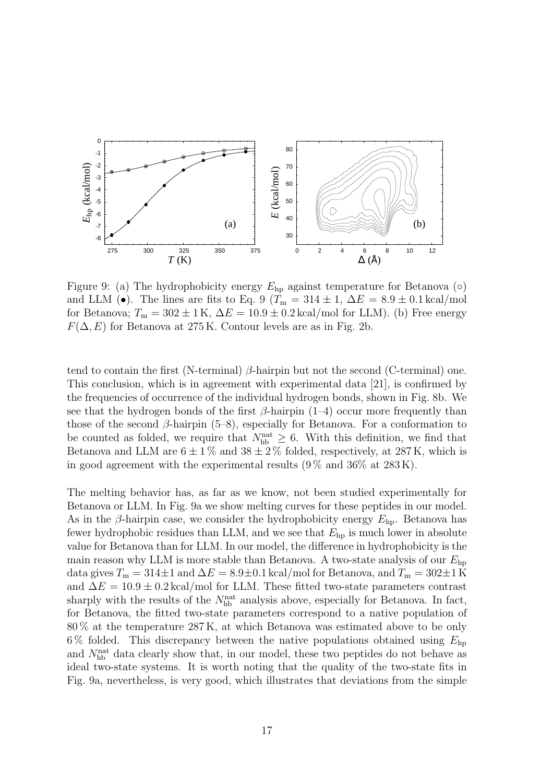

Figure 9: (a) The hydrophobicity energy  $E_{hp}$  against temperature for Betanova ( $\circ$ ) and LLM (•). The lines are fits to Eq. 9 ( $T_m = 314 \pm 1$ ,  $\Delta E = 8.9 \pm 0.1 \text{ kcal/mol}$ for Betanova;  $T_m = 302 \pm 1 \text{ K}$ ,  $\Delta E = 10.9 \pm 0.2 \text{ kcal/mol}$  for LLM). (b) Free energy  $F(\Delta, E)$  for Betanova at 275 K. Contour levels are as in Fig. 2b.

tend to contain the first (N-terminal)  $\beta$ -hairpin but not the second (C-terminal) one. This conclusion, which is in agreement with experimental data [21], is confirmed by the frequencies of occurrence of the individual hydrogen bonds, shown in Fig. 8b. We see that the hydrogen bonds of the first  $\beta$ -hairpin (1–4) occur more frequently than those of the second  $\beta$ -hairpin (5–8), especially for Betanova. For a conformation to be counted as folded, we require that  $N_{\text{hb}}^{\text{nat}} \geq 6$ . With this definition, we find that Betanova and LLM are  $6 \pm 1\%$  and  $38 \pm 2\%$  folded, respectively, at 287 K, which is in good agreement with the experimental results  $(9\% \text{ and } 36\% \text{ at } 283 \text{ K}).$ 

The melting behavior has, as far as we know, not been studied experimentally for Betanova or LLM. In Fig. 9a we show melting curves for these peptides in our model. As in the  $\beta$ -hairpin case, we consider the hydrophobicity energy  $E_{\text{hp}}$ . Betanova has fewer hydrophobic residues than LLM, and we see that  $E_{\text{hp}}$  is much lower in absolute value for Betanova than for LLM. In our model, the difference in hydrophobicity is the main reason why LLM is more stable than Betanova. A two-state analysis of our  $E_{\text{hp}}$ data gives  $T_m = 314 \pm 1$  and  $\Delta E = 8.9 \pm 0.1$  kcal/mol for Betanova, and  $T_m = 302 \pm 1$  K and  $\Delta E = 10.9 \pm 0.2 \,\text{kcal/mol}$  for LLM. These fitted two-state parameters contrast sharply with the results of the  $N_{\rm hb}^{\rm nat}$  analysis above, especially for Betanova. In fact, for Betanova, the fitted two-state parameters correspond to a native population of 80 % at the temperature 287 K, at which Betanova was estimated above to be only 6% folded. This discrepancy between the native populations obtained using  $E_{\rm hp}$ and  $N_{\text{hb}}^{\text{nat}}$  data clearly show that, in our model, these two peptides do not behave as ideal two-state systems. It is worth noting that the quality of the two-state fits in Fig. 9a, nevertheless, is very good, which illustrates that deviations from the simple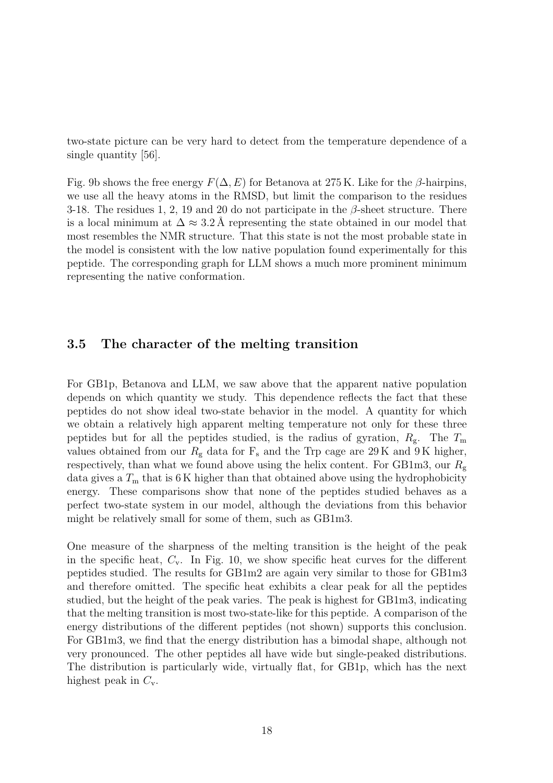two-state picture can be very hard to detect from the temperature dependence of a single quantity [56].

Fig. 9b shows the free energy  $F(\Delta, E)$  for Betanova at 275 K. Like for the  $\beta$ -hairpins, we use all the heavy atoms in the RMSD, but limit the comparison to the residues 3-18. The residues 1, 2, 19 and 20 do not participate in the  $\beta$ -sheet structure. There is a local minimum at  $\Delta \approx 3.2$  Å representing the state obtained in our model that most resembles the NMR structure. That this state is not the most probable state in the model is consistent with the low native population found experimentally for this peptide. The corresponding graph for LLM shows a much more prominent minimum representing the native conformation.

#### 3.5 The character of the melting transition

For GB1p, Betanova and LLM, we saw above that the apparent native population depends on which quantity we study. This dependence reflects the fact that these peptides do not show ideal two-state behavior in the model. A quantity for which we obtain a relatively high apparent melting temperature not only for these three peptides but for all the peptides studied, is the radius of gyration,  $R_{\rm g}$ . The  $T_{\rm m}$ values obtained from our  $R<sub>g</sub>$  data for  $F<sub>s</sub>$  and the Trp cage are 29 K and 9 K higher, respectively, than what we found above using the helix content. For GB1m3, our  $R_{\rm g}$ data gives a  $T<sub>m</sub>$  that is 6 K higher than that obtained above using the hydrophobicity energy. These comparisons show that none of the peptides studied behaves as a perfect two-state system in our model, although the deviations from this behavior might be relatively small for some of them, such as GB1m3.

One measure of the sharpness of the melting transition is the height of the peak in the specific heat,  $C_v$ . In Fig. 10, we show specific heat curves for the different peptides studied. The results for GB1m2 are again very similar to those for GB1m3 and therefore omitted. The specific heat exhibits a clear peak for all the peptides studied, but the height of the peak varies. The peak is highest for GB1m3, indicating that the melting transition is most two-state-like for this peptide. A comparison of the energy distributions of the different peptides (not shown) supports this conclusion. For GB1m3, we find that the energy distribution has a bimodal shape, although not very pronounced. The other peptides all have wide but single-peaked distributions. The distribution is particularly wide, virtually flat, for GB1p, which has the next highest peak in  $C_v$ .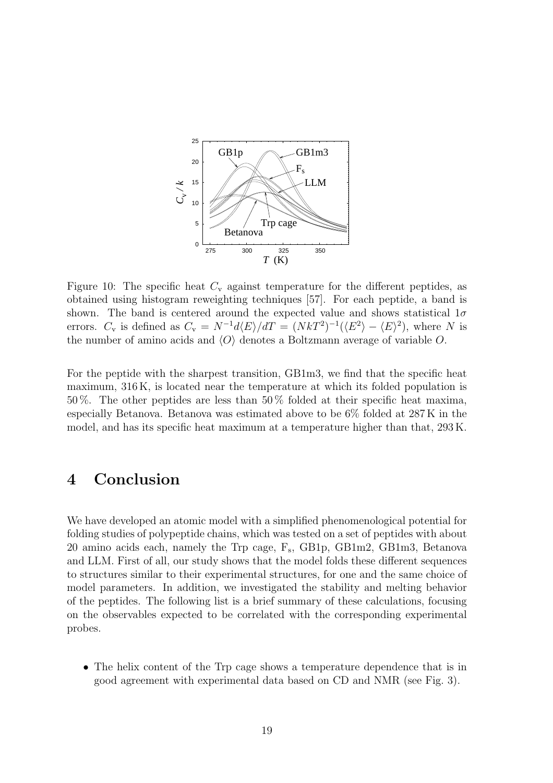

Figure 10: The specific heat  $C_{\rm v}$  against temperature for the different peptides, as obtained using histogram reweighting techniques [57]. For each peptide, a band is shown. The band is centered around the expected value and shows statistical  $1\sigma$ errors.  $C_{\rm v}$  is defined as  $C_{\rm v} = N^{-1}d\langle E\rangle/dT = (NkT^2)^{-1}(\langle E^2\rangle - \langle E\rangle^2)$ , where N is the number of amino acids and  $\langle O \rangle$  denotes a Boltzmann average of variable O.

For the peptide with the sharpest transition, GB1m3, we find that the specific heat maximum, 316 K, is located near the temperature at which its folded population is 50 %. The other peptides are less than 50 % folded at their specific heat maxima, especially Betanova. Betanova was estimated above to be 6% folded at 287 K in the model, and has its specific heat maximum at a temperature higher than that, 293 K.

# 4 Conclusion

We have developed an atomic model with a simplified phenomenological potential for folding studies of polypeptide chains, which was tested on a set of peptides with about 20 amino acids each, namely the Trp cage, F<sup>s</sup> , GB1p, GB1m2, GB1m3, Betanova and LLM. First of all, our study shows that the model folds these different sequences to structures similar to their experimental structures, for one and the same choice of model parameters. In addition, we investigated the stability and melting behavior of the peptides. The following list is a brief summary of these calculations, focusing on the observables expected to be correlated with the corresponding experimental probes.

• The helix content of the Trp cage shows a temperature dependence that is in good agreement with experimental data based on CD and NMR (see Fig. 3).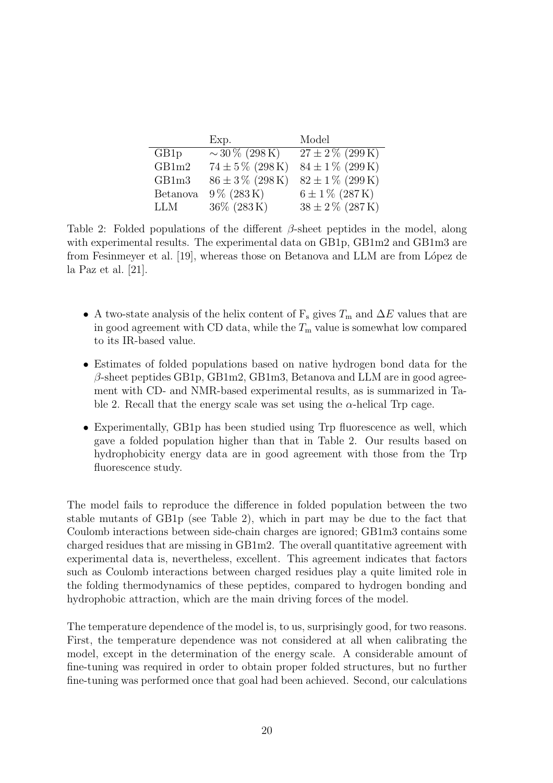|                  | Exp.                    | Model                |
|------------------|-------------------------|----------------------|
| GB1 <sub>p</sub> | $\sim$ 30 % (298 K)     | $27 \pm 2\%$ (299 K) |
| GB1m2            | $74 \pm 5\%$ (298 K)    | $84 \pm 1\%$ (299 K) |
| GB1m3            | $86 \pm 3\%$ (298 K)    | $82 \pm 1\%$ (299 K) |
| <b>Betanova</b>  | $9\% (283\,\mathrm{K})$ | $6 \pm 1\%$ (287 K)  |
| <b>LLM</b>       | $36\%$ (283 K)          | $38 \pm 2\%$ (287 K) |

Table 2: Folded populations of the different  $\beta$ -sheet peptides in the model, along with experimental results. The experimental data on GB1p, GB1m2 and GB1m3 are from Fesinmeyer et al. [19], whereas those on Betanova and LLM are from López de la Paz et al. [21].

- A two-state analysis of the helix content of  $F_s$  gives  $T_m$  and  $\Delta E$  values that are in good agreement with CD data, while the  $T_m$  value is somewhat low compared to its IR-based value.
- Estimates of folded populations based on native hydrogen bond data for the  $\beta$ -sheet peptides GB1p, GB1m2, GB1m3, Betanova and LLM are in good agreement with CD- and NMR-based experimental results, as is summarized in Table 2. Recall that the energy scale was set using the  $\alpha$ -helical Trp cage.
- Experimentally, GB1p has been studied using Trp fluorescence as well, which gave a folded population higher than that in Table 2. Our results based on hydrophobicity energy data are in good agreement with those from the Trp fluorescence study.

The model fails to reproduce the difference in folded population between the two stable mutants of GB1p (see Table 2), which in part may be due to the fact that Coulomb interactions between side-chain charges are ignored; GB1m3 contains some charged residues that are missing in GB1m2. The overall quantitative agreement with experimental data is, nevertheless, excellent. This agreement indicates that factors such as Coulomb interactions between charged residues play a quite limited role in the folding thermodynamics of these peptides, compared to hydrogen bonding and hydrophobic attraction, which are the main driving forces of the model.

The temperature dependence of the model is, to us, surprisingly good, for two reasons. First, the temperature dependence was not considered at all when calibrating the model, except in the determination of the energy scale. A considerable amount of fine-tuning was required in order to obtain proper folded structures, but no further fine-tuning was performed once that goal had been achieved. Second, our calculations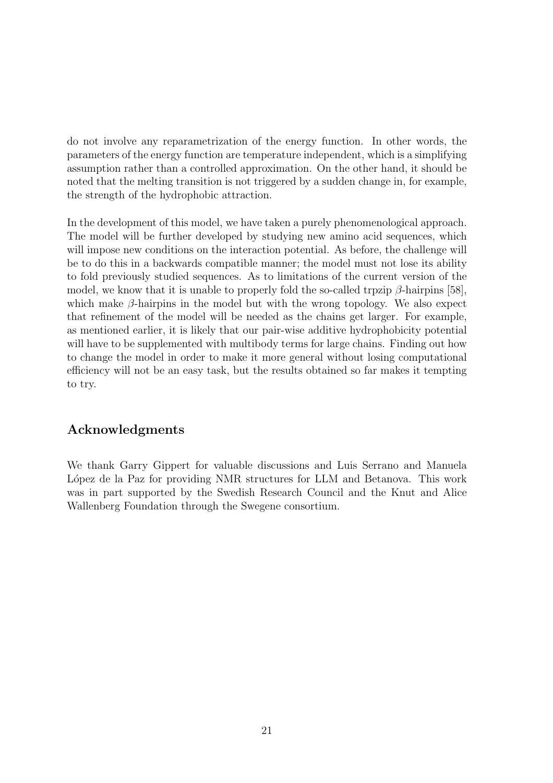do not involve any reparametrization of the energy function. In other words, the parameters of the energy function are temperature independent, which is a simplifying assumption rather than a controlled approximation. On the other hand, it should be noted that the melting transition is not triggered by a sudden change in, for example, the strength of the hydrophobic attraction.

In the development of this model, we have taken a purely phenomenological approach. The model will be further developed by studying new amino acid sequences, which will impose new conditions on the interaction potential. As before, the challenge will be to do this in a backwards compatible manner; the model must not lose its ability to fold previously studied sequences. As to limitations of the current version of the model, we know that it is unable to properly fold the so-called trpzip  $\beta$ -hairpins [58], which make  $\beta$ -hairpins in the model but with the wrong topology. We also expect that refinement of the model will be needed as the chains get larger. For example, as mentioned earlier, it is likely that our pair-wise additive hydrophobicity potential will have to be supplemented with multibody terms for large chains. Finding out how to change the model in order to make it more general without losing computational efficiency will not be an easy task, but the results obtained so far makes it tempting to try.

### Acknowledgments

We thank Garry Gippert for valuable discussions and Luis Serrano and Manuela López de la Paz for providing NMR structures for LLM and Betanova. This work was in part supported by the Swedish Research Council and the Knut and Alice Wallenberg Foundation through the Swegene consortium.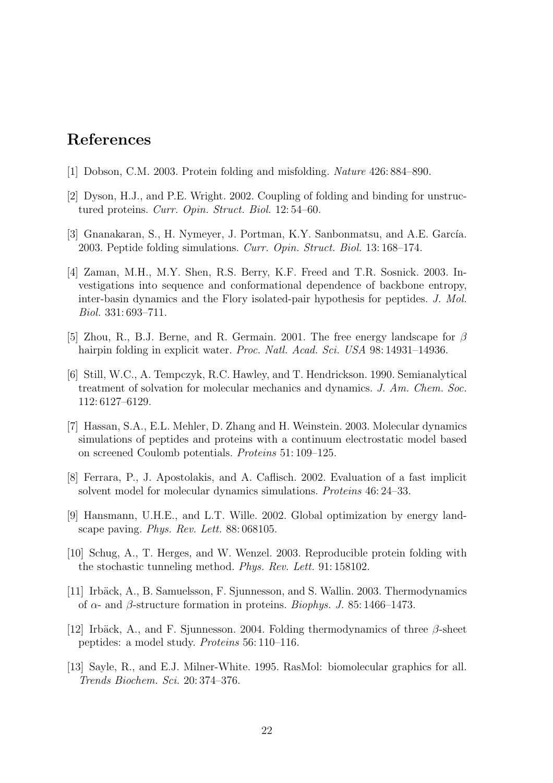## References

- [1] Dobson, C.M. 2003. Protein folding and misfolding. Nature 426: 884–890.
- [2] Dyson, H.J., and P.E. Wright. 2002. Coupling of folding and binding for unstructured proteins. Curr. Opin. Struct. Biol. 12: 54–60.
- [3] Gnanakaran, S., H. Nymeyer, J. Portman, K.Y. Sanbonmatsu, and A.E. García. 2003. Peptide folding simulations. Curr. Opin. Struct. Biol. 13: 168–174.
- [4] Zaman, M.H., M.Y. Shen, R.S. Berry, K.F. Freed and T.R. Sosnick. 2003. Investigations into sequence and conformational dependence of backbone entropy, inter-basin dynamics and the Flory isolated-pair hypothesis for peptides. J. Mol. Biol. 331: 693–711.
- [5] Zhou, R., B.J. Berne, and R. Germain. 2001. The free energy landscape for  $\beta$ hairpin folding in explicit water. Proc. Natl. Acad. Sci. USA 98:14931-14936.
- [6] Still, W.C., A. Tempczyk, R.C. Hawley, and T. Hendrickson. 1990. Semianalytical treatment of solvation for molecular mechanics and dynamics. J. Am. Chem. Soc. 112: 6127–6129.
- [7] Hassan, S.A., E.L. Mehler, D. Zhang and H. Weinstein. 2003. Molecular dynamics simulations of peptides and proteins with a continuum electrostatic model based on screened Coulomb potentials. Proteins 51: 109–125.
- [8] Ferrara, P., J. Apostolakis, and A. Caflisch. 2002. Evaluation of a fast implicit solvent model for molecular dynamics simulations. Proteins 46: 24–33.
- [9] Hansmann, U.H.E., and L.T. Wille. 2002. Global optimization by energy landscape paving. Phys. Rev. Lett. 88: 068105.
- [10] Schug, A., T. Herges, and W. Wenzel. 2003. Reproducible protein folding with the stochastic tunneling method. Phys. Rev. Lett. 91: 158102.
- [11] Irbäck, A., B. Samuelsson, F. Sjunnesson, and S. Wallin. 2003. Thermodynamics of α- and β-structure formation in proteins. Biophys. J. 85: 1466–1473.
- [12] Irbäck, A., and F. Sjunnesson. 2004. Folding thermodynamics of three  $\beta$ -sheet peptides: a model study. Proteins 56: 110–116.
- [13] Sayle, R., and E.J. Milner-White. 1995. RasMol: biomolecular graphics for all. Trends Biochem. Sci. 20: 374–376.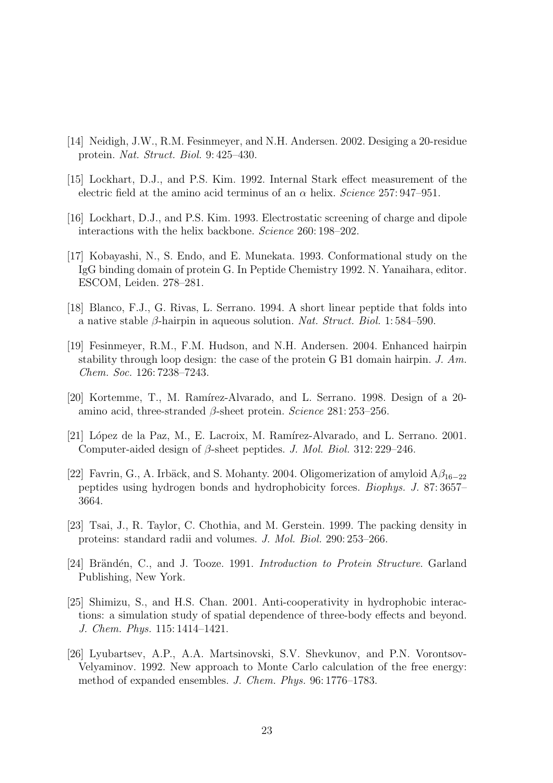- [14] Neidigh, J.W., R.M. Fesinmeyer, and N.H. Andersen. 2002. Desiging a 20-residue protein. Nat. Struct. Biol. 9: 425–430.
- [15] Lockhart, D.J., and P.S. Kim. 1992. Internal Stark effect measurement of the electric field at the amino acid terminus of an  $\alpha$  helix. Science 257: 947–951.
- [16] Lockhart, D.J., and P.S. Kim. 1993. Electrostatic screening of charge and dipole interactions with the helix backbone. Science 260: 198–202.
- [17] Kobayashi, N., S. Endo, and E. Munekata. 1993. Conformational study on the IgG binding domain of protein G. In Peptide Chemistry 1992. N. Yanaihara, editor. ESCOM, Leiden. 278–281.
- [18] Blanco, F.J., G. Rivas, L. Serrano. 1994. A short linear peptide that folds into a native stable  $\beta$ -hairpin in aqueous solution. *Nat. Struct. Biol.* 1: 584–590.
- [19] Fesinmeyer, R.M., F.M. Hudson, and N.H. Andersen. 2004. Enhanced hairpin stability through loop design: the case of the protein G B1 domain hairpin. J. Am. Chem. Soc. 126: 7238–7243.
- [20] Kortemme, T., M. Ramírez-Alvarado, and L. Serrano. 1998. Design of a 20amino acid, three-stranded  $\beta$ -sheet protein. Science 281: 253–256.
- [21] López de la Paz, M., E. Lacroix, M. Ramírez-Alvarado, and L. Serrano. 2001. Computer-aided design of β-sheet peptides. J. Mol. Biol. 312: 229–246.
- [22] Favrin, G., A. Irbäck, and S. Mohanty. 2004. Oligomerization of amyloid  $A\beta_{16-22}$ peptides using hydrogen bonds and hydrophobicity forces. Biophys. J. 87: 3657– 3664.
- [23] Tsai, J., R. Taylor, C. Chothia, and M. Gerstein. 1999. The packing density in proteins: standard radii and volumes. J. Mol. Biol. 290: 253–266.
- [24] Brändén, C., and J. Tooze. 1991. Introduction to Protein Structure. Garland Publishing, New York.
- [25] Shimizu, S., and H.S. Chan. 2001. Anti-cooperativity in hydrophobic interactions: a simulation study of spatial dependence of three-body effects and beyond. J. Chem. Phys. 115: 1414–1421.
- [26] Lyubartsev, A.P., A.A. Martsinovski, S.V. Shevkunov, and P.N. Vorontsov-Velyaminov. 1992. New approach to Monte Carlo calculation of the free energy: method of expanded ensembles. J. Chem. Phys. 96: 1776–1783.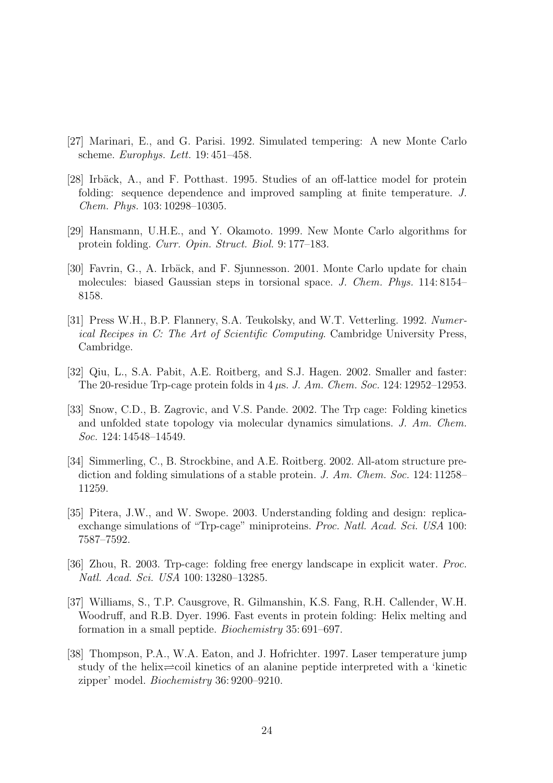- [27] Marinari, E., and G. Parisi. 1992. Simulated tempering: A new Monte Carlo scheme. Europhys. Lett. 19: 451–458.
- [28] Irbäck, A., and F. Potthast. 1995. Studies of an off-lattice model for protein folding: sequence dependence and improved sampling at finite temperature. J. Chem. Phys. 103: 10298–10305.
- [29] Hansmann, U.H.E., and Y. Okamoto. 1999. New Monte Carlo algorithms for protein folding. Curr. Opin. Struct. Biol. 9: 177–183.
- [30] Favrin, G., A. Irbäck, and F. Sjunnesson. 2001. Monte Carlo update for chain molecules: biased Gaussian steps in torsional space. J. Chem. Phys. 114: 8154– 8158.
- [31] Press W.H., B.P. Flannery, S.A. Teukolsky, and W.T. Vetterling. 1992. Numerical Recipes in C: The Art of Scientific Computing. Cambridge University Press, Cambridge.
- [32] Qiu, L., S.A. Pabit, A.E. Roitberg, and S.J. Hagen. 2002. Smaller and faster: The 20-residue Trp-cage protein folds in  $4 \mu s$ . J. Am. Chem. Soc. 124: 12952–12953.
- [33] Snow, C.D., B. Zagrovic, and V.S. Pande. 2002. The Trp cage: Folding kinetics and unfolded state topology via molecular dynamics simulations. J. Am. Chem. Soc. 124: 14548–14549.
- [34] Simmerling, C., B. Strockbine, and A.E. Roitberg. 2002. All-atom structure prediction and folding simulations of a stable protein. J. Am. Chem. Soc. 124: 11258– 11259.
- [35] Pitera, J.W., and W. Swope. 2003. Understanding folding and design: replicaexchange simulations of "Trp-cage" miniproteins. Proc. Natl. Acad. Sci. USA 100: 7587–7592.
- [36] Zhou, R. 2003. Trp-cage: folding free energy landscape in explicit water. Proc. Natl. Acad. Sci. USA 100: 13280–13285.
- [37] Williams, S., T.P. Causgrove, R. Gilmanshin, K.S. Fang, R.H. Callender, W.H. Woodruff, and R.B. Dyer. 1996. Fast events in protein folding: Helix melting and formation in a small peptide. Biochemistry 35: 691–697.
- [38] Thompson, P.A., W.A. Eaton, and J. Hofrichter. 1997. Laser temperature jump study of the helix $\rightleftharpoons$ coil kinetics of an alanine peptide interpreted with a 'kinetic zipper' model. Biochemistry 36: 9200–9210.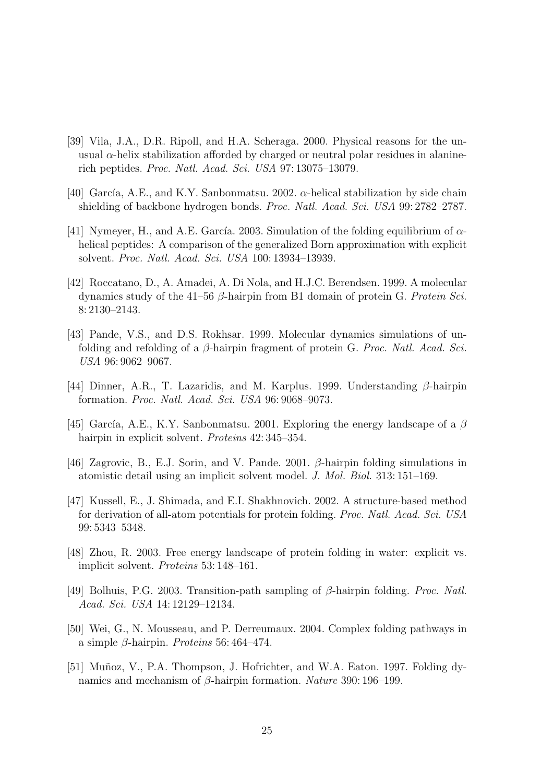- [39] Vila, J.A., D.R. Ripoll, and H.A. Scheraga. 2000. Physical reasons for the unusual  $\alpha$ -helix stabilization afforded by charged or neutral polar residues in alaninerich peptides. Proc. Natl. Acad. Sci. USA 97: 13075–13079.
- [40] García, A.E., and K.Y. Sanbonmatsu. 2002.  $\alpha$ -helical stabilization by side chain shielding of backbone hydrogen bonds. Proc. Natl. Acad. Sci. USA 99: 2782–2787.
- [41] Nymeyer, H., and A.E. García. 2003. Simulation of the folding equilibrium of  $\alpha$ helical peptides: A comparison of the generalized Born approximation with explicit solvent. Proc. Natl. Acad. Sci. USA 100: 13934–13939.
- [42] Roccatano, D., A. Amadei, A. Di Nola, and H.J.C. Berendsen. 1999. A molecular dynamics study of the 41–56  $\beta$ -hairpin from B1 domain of protein G. Protein Sci. 8: 2130–2143.
- [43] Pande, V.S., and D.S. Rokhsar. 1999. Molecular dynamics simulations of unfolding and refolding of a  $\beta$ -hairpin fragment of protein G. Proc. Natl. Acad. Sci. USA 96: 9062–9067.
- [44] Dinner, A.R., T. Lazaridis, and M. Karplus. 1999. Understanding  $\beta$ -hairpin formation. Proc. Natl. Acad. Sci. USA 96: 9068–9073.
- [45] García, A.E., K.Y. Sanbonmatsu. 2001. Exploring the energy landscape of a  $\beta$ hairpin in explicit solvent. *Proteins* 42:345–354.
- [46] Zagrovic, B., E.J. Sorin, and V. Pande. 2001. β-hairpin folding simulations in atomistic detail using an implicit solvent model. J. Mol. Biol. 313: 151–169.
- [47] Kussell, E., J. Shimada, and E.I. Shakhnovich. 2002. A structure-based method for derivation of all-atom potentials for protein folding. Proc. Natl. Acad. Sci. USA 99: 5343–5348.
- [48] Zhou, R. 2003. Free energy landscape of protein folding in water: explicit vs. implicit solvent. Proteins 53: 148–161.
- [49] Bolhuis, P.G. 2003. Transition-path sampling of  $\beta$ -hairpin folding. *Proc. Natl.* Acad. Sci. USA 14: 12129–12134.
- [50] Wei, G., N. Mousseau, and P. Derreumaux. 2004. Complex folding pathways in a simple β-hairpin. Proteins 56: 464–474.
- [51] Muñoz, V., P.A. Thompson, J. Hofrichter, and W.A. Eaton. 1997. Folding dynamics and mechanism of β-hairpin formation. Nature 390: 196–199.